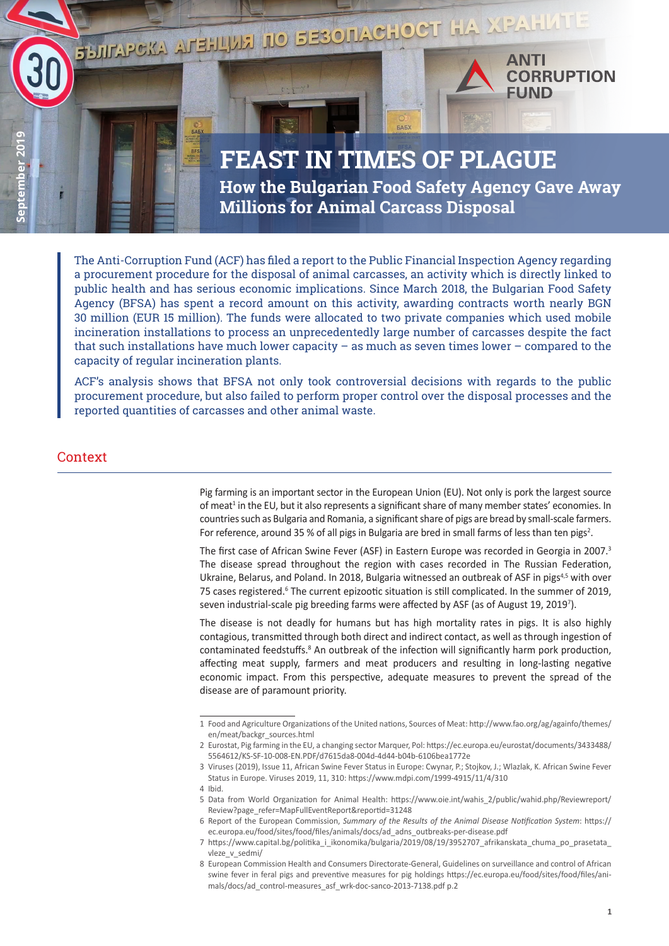

**FEAST IN TIMES OF PLAGUE How the Bulgarian Food Safety Agency Gave Away Millions for Animal Carcass Disposal**

The Anti-Corruption Fund (ACF) has filed a report to the Public Financial Inspection Agency regarding a procurement procedure for the disposal of animal carcasses, an activity which is directly linked to public health and has serious economic implications. Since March 2018, the Bulgarian Food Safety Agency (BFSA) has spent a record amount on this activity, awarding contracts worth nearly BGN 30 million (EUR 15 million). The funds were allocated to two private companies which used mobile incineration installations to process an unprecedentedly large number of carcasses despite the fact that such installations have much lower capacity – as much as seven times lower – compared to the capacity of regular incineration plants.

ACF's analysis shows that BFSA not only took controversial decisions with regards to the public procurement procedure, but also failed to perform proper control over the disposal processes and the reported quantities of carcasses and other animal waste.

### Context

Pig farming is an important sector in the European Union (EU). Not only is pork the largest source of meat<sup>1</sup> in the EU, but it also represents a significant share of many member states' economies. In countries such as Bulgaria and Romania, a significant share of pigs are bread by small-scale farmers. For reference, around 35 % of all pigs in Bulgaria are bred in small farms of less than ten pigs<sup>2</sup>.

The first case of African Swine Fever (ASF) in Eastern Europe was recorded in Georgia in 2007.<sup>3</sup> The disease spread throughout the region with cases recorded in The Russian Federation, Ukraine, Belarus, and Poland. In 2018, Bulgaria witnessed an outbreak of ASF in pigs<sup>4,5</sup> with over 75 cases registered.<sup>6</sup> The current epizootic situation is still complicated. In the summer of 2019, seven industrial-scale pig breeding farms were affected by ASF (as of August 19, 20197 ).

The disease is not deadly for humans but has high mortality rates in pigs. It is also highly contagious, transmitted through both direct and indirect contact, as well as through ingestion of contaminated feedstuffs.<sup>8</sup> An outbreak of the infection will significantly harm pork production, affecting meat supply, farmers and meat producers and resulting in long-lasting negative economic impact. From this perspective, adequate measures to prevent the spread of the disease are of paramount priority.

<sup>1</sup> Food and Agriculture Organizations of the United nations, Sources of Meat: [http://www.fao.org/ag/againfo/themes/](http://www.fao.org/ag/againfo/themes/en/meat/backgr_sources.html) [en/meat/backgr\\_sources.html](http://www.fao.org/ag/againfo/themes/en/meat/backgr_sources.html)

<sup>2</sup> Eurostat, Pig farming in the EU, a changing sector Marquer, Pol: [https://ec.europa.eu/eurostat/documents/3433488/](https://ec.europa.eu/eurostat/documents/3433488/ 5564612/KS-SF-10-008-EN.PDF/d7615da8-004d-4d44-b04b-6106bea1772e) [5564612/KS-SF-10-008-EN.PDF/d7615da8-004d-4d44-b04b-6106bea1772e](https://ec.europa.eu/eurostat/documents/3433488/ 5564612/KS-SF-10-008-EN.PDF/d7615da8-004d-4d44-b04b-6106bea1772e)

<sup>3</sup> Viruses (2019), Issue 11, African Swine Fever Status in Europe: Cwynar, P.; Stojkov, J.; Wlazlak, K. African Swine Fever Status in Europe. Viruses 2019, 11, 310: https://www.mdpi.com/1999-4915/11/4/310

<sup>4</sup> Ibid.

<sup>5</sup> Data from World Organization for Animal Health: [https://www.oie.int/wahis\\_2/public/wahid.php/Reviewreport/](https://www.oie.int/wahis_2/public/wahid.php/Reviewreport/Review?page_refer=MapFullEventReport&reportid=31248) [Review?page\\_refer=MapFullEventReport&reportid=31248](https://www.oie.int/wahis_2/public/wahid.php/Reviewreport/Review?page_refer=MapFullEventReport&reportid=31248)

<sup>6</sup> Report of the European Commission, *Summary of the Results of the Animal Disease Notification System*: [https://](https://ec.europa.eu/food/sites/food/files/animals/docs/ad_adns_outbreaks-per-disease.pdf) [ec.europa.eu/food/sites/food/files/animals/docs/ad\\_adns\\_outbreaks-per-disease.pdf](https://ec.europa.eu/food/sites/food/files/animals/docs/ad_adns_outbreaks-per-disease.pdf)

<sup>7</sup> [https://www.capital.bg/politika\\_i\\_ikonomika/bulgaria/2019/08/19/3952707\\_afrikanskata\\_chuma\\_po\\_prasetata\\_](https://www.capital.bg/politika_i_ikonomika/bulgaria/2019/08/19/3952707_afrikanskata_chuma_po_prasetata_vleze_v_sedmi/) vleze v sedmi/

<sup>8</sup> European Commission Health and Consumers Directorate-General, Guidelines on surveillance and control of African swine fever in feral pigs and preventive measures for pig holdings [https://ec.europa.eu/food/sites/food/files/ani](https://ec.europa.eu/food/sites/food/files/animals/docs/ad_control-measures_asf_wrk-doc-sanco-2013-7138.pdf)[mals/docs/ad\\_control-measures\\_asf\\_wrk-doc-sanco-2013-7138.pdf](https://ec.europa.eu/food/sites/food/files/animals/docs/ad_control-measures_asf_wrk-doc-sanco-2013-7138.pdf) p.2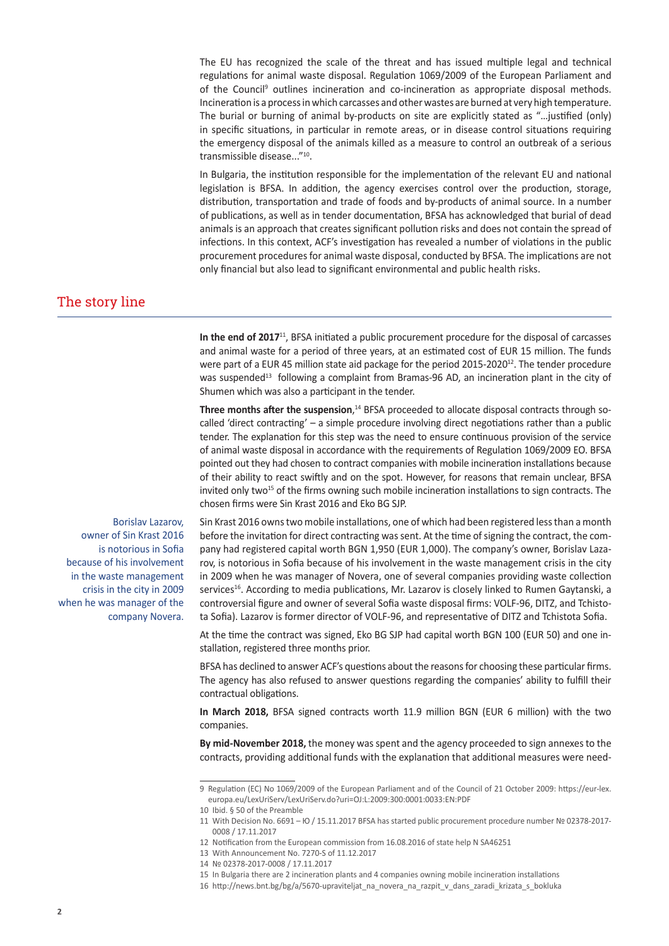The EU has recognized the scale of the threat and has issued multiple legal and technical regulations for animal waste disposal. Regulation 1069/2009 of the European Parliament and of the Council<sup>9</sup> outlines incineration and co-incineration as appropriate disposal methods. Incineration is a process in which carcasses and other wastes are burned at very high temperature. The burial or burning of animal by-products on site are explicitly stated as "…justified (only) in specific situations, in particular in remote areas, or in disease control situations requiring the emergency disposal of the animals killed as a measure to control an outbreak of a serious transmissible disease..."<sup>10</sup>.

In Bulgaria, the institution responsible for the implementation of the relevant EU and national legislation is BFSA. In addition, the agency exercises control over the production, storage, distribution, transportation and trade of foods and by-products of animal source. In a number of publications, as well as in tender documentation, BFSA has acknowledged that burial of dead animals is an approach that creates significant pollution risks and does not contain the spread of infections. In this context, ACF's investigation has revealed a number of violations in the public procurement procedures for animal waste disposal, conducted by BFSA. The implications are not only financial but also lead to significant environmental and public health risks.

## The story line

**In the end of 2017**<sup>11</sup>, BFSA initiated a public procurement procedure for the disposal of carcasses and animal waste for a period of three years, at an estimated cost of EUR 15 million. The funds were part of a EUR 45 million state aid package for the period 2015-2020<sup>12</sup>. The tender procedure was suspended<sup>13</sup> following a complaint from Bramas-96 AD, an incineration plant in the city of Shumen which was also a participant in the tender.

**Three months after the suspension**, 14 BFSA proceeded to allocate disposal contracts through socalled 'direct contracting' – a simple procedure involving direct negotiations rather than a public tender. The explanation for this step was the need to ensure continuous provision of the service of animal waste disposal in accordance with the requirements of Regulation 1069/2009 ЕО. BFSA pointed out they had chosen to contract companies with mobile incineration installations because of their ability to react swiftly and on the spot. However, for reasons that remain unclear, BFSA invited only two<sup>15</sup> of the firms owning such mobile incineration installations to sign contracts. The chosen firms were Sin Krast 2016 and Eko BG SJP.

Borislav Lazarov, owner of Sin Krast 2016 is notorious in Sofia because of his involvement in the waste management crisis in the city in 2009 when he was manager of the company Novera.

Sin Krast 2016 owns two mobile installations, one of which had been registered less than a month before the invitation for direct contracting was sent. At the time of signing the contract, the company had registered capital worth BGN 1,950 (EUR 1,000). The company's owner, Borislav Lazarov, is notorious in Sofia because of his involvement in the waste management crisis in the city in 2009 when he was manager of Novera, one of several companies providing waste collection services<sup>16</sup>. According to media publications, Mr. Lazarov is closely linked to Rumen Gaytanski, a controversial figure and owner of several Sofia waste disposal firms: VOLF-96, DITZ, and Tchistota Sofia). Lazarov is former director of VOLF-96, and representative of DITZ and Tchistota Sofia.

At the time the contract was signed, Eko BG SJP had capital worth BGN 100 (EUR 50) and one installation, registered three months prior.

BFSA has declined to answer ACF's questions about the reasons for choosing these particular firms. The agency has also refused to answer questions regarding the companies' ability to fulfill their contractual obligations.

**In March 2018,** BFSA signed contracts worth 11.9 million BGN (EUR 6 million) with the two companies.

**By mid-November 2018,** the money was spent and the agency proceeded to sign annexes to the contracts, providing additional funds with the explanation that additional measures were need-

<sup>9</sup> Regulation (EC) No 1069/2009 of the European Parliament and of the Council of 21 October 2009: [https://eur-lex.](https://eur-lex.europa.eu/LexUriServ/LexUriServ.do?uri=OJ:L:2009:300:0001:0033:EN:PDF) [europa.eu/LexUriServ/LexUriServ.do?uri=OJ:L:2009:300:0001:0033:EN:PDF](https://eur-lex.europa.eu/LexUriServ/LexUriServ.do?uri=OJ:L:2009:300:0001:0033:EN:PDF)

<sup>10</sup> Ibid. § 50 of the Preamble

<sup>11</sup> With Decision No. 6691 – Ю / 15.11.2017 BFSA has started public procurement procedure number № 02378-2017- 0008 / 17.11.2017

<sup>12</sup> Notification from the European commission from 16.08.2016 of state help N SA46251

<sup>13</sup> With Announcement No. 7270-S of 11.12.2017

<sup>14 № 02378-2017-0008 / 17.11.2017</sup>

<sup>15</sup> In Bulgaria there are 2 incineration plants and 4 companies owning mobile incineration installations

<sup>16</sup> http://news.bnt.bg/bg/a/5670-upraviteljat\_na\_novera\_na\_razpit\_v\_dans\_zaradi\_krizata\_s\_bokluka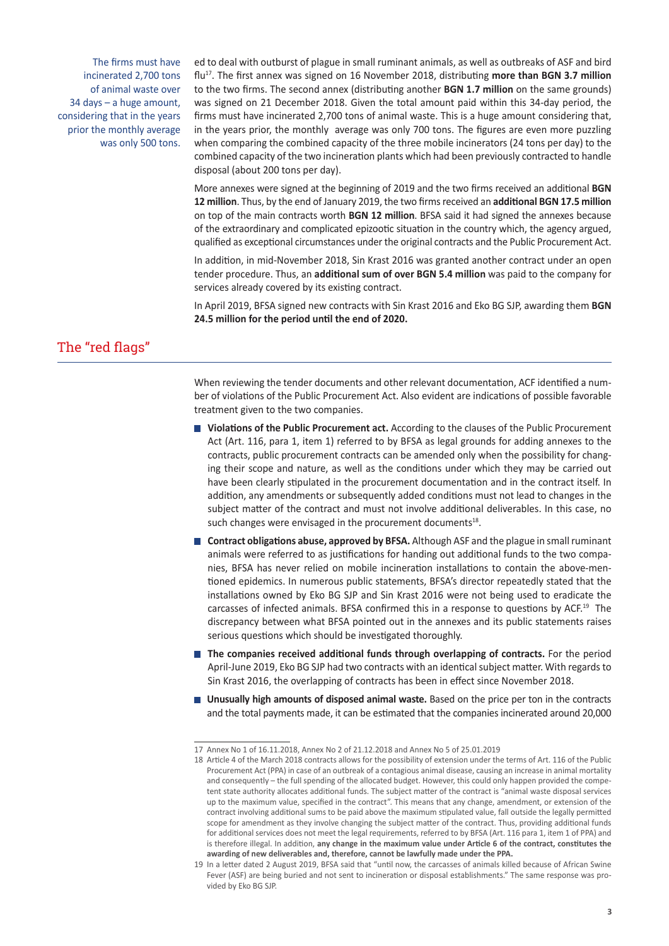The firms must have incinerated 2,700 tons of animal waste over 34 days – a huge amount, considering that in the years prior the monthly average was only 500 tons. ed to deal with outburst of plague in small ruminant animals, as well as outbreaks of ASF and bird flu17. The first annex was signed on 16 November 2018, distributing **more than BGN 3.7 million**  to the two firms. The second annex (distributing another **BGN 1.7 million** on the same grounds) was signed on 21 December 2018. Given the total amount paid within this 34-day period, the firms must have incinerated 2,700 tons of animal waste. This is a huge amount considering that, in the years prior, the monthly average was only 700 tons. The figures are even more puzzling when comparing the combined capacity of the three mobile incinerators (24 tons per day) to the combined capacity of the two incineration plants which had been previously contracted to handle disposal (about 200 tons per day).

More annexes were signed at the beginning of 2019 and the two firms received an additional **BGN 12 million**. Thus, by the end of January 2019, the two firms received an **additional BGN 17.5 million** on top of the main contracts worth **BGN 12 million**. BFSA said it had signed the annexes because of the extraordinary and complicated epizootic situation in the country which, the agency argued, qualified as exceptional circumstances under the original contracts and the Public Procurement Act.

In addition, in mid-November 2018, Sin Krast 2016 was granted another contract under an open tender procedure. Thus, an **additional sum of over BGN 5.4 million** was paid to the company for services already covered by its existing contract.

In April 2019, BFSA signed new contracts with Sin Krast 2016 and Eko BG SJP, awarding them **BGN 24.5 million for the period until the end of 2020.**

# The "red flags"

When reviewing the tender documents and other relevant documentation, ACF identified a number of violations of the Public Procurement Act. Also evident are indications of possible favorable treatment given to the two companies.

- **Violations of the Public Procurement act.** According to the clauses of the Public Procurement Act (Art. 116, para 1, item 1) referred to by BFSA as legal grounds for adding annexes to the contracts, public procurement contracts can be amended only when the possibility for changing their scope and nature, as well as the conditions under which they may be carried out have been clearly stipulated in the procurement documentation and in the contract itself. In addition, any amendments or subsequently added conditions must not lead to changes in the subject matter of the contract and must not involve additional deliverables. In this case, no such changes were envisaged in the procurement documents<sup>18</sup>.
- **Contract obligations abuse, approved by BFSA.** Although ASF and the plague in small ruminant animals were referred to as justifications for handing out additional funds to the two companies, BFSA has never relied on mobile incineration installations to contain the above-mentioned epidemics. In numerous public statements, BFSA's director repeatedly stated that the installations owned by Eko BG SJP and Sin Krast 2016 were not being used to eradicate the carcasses of infected animals. BFSA confirmed this in a response to questions by ACF.<sup>19</sup> The discrepancy between what BFSA pointed out in the annexes and its public statements raises serious questions which should be investigated thoroughly.
- **The companies received additional funds through overlapping of contracts.** For the period April-June 2019, Eko BG SJP had two contracts with an identical subject matter. With regards to Sin Krast 2016, the overlapping of contracts has been in effect since November 2018.
- **Unusually high amounts of disposed animal waste.** Based on the price per ton in the contracts and the total payments made, it can be estimated that the companies incinerated around 20,000

<sup>17</sup> Annex No 1 of 16.11.2018, Annex No 2 of 21.12.2018 and Annex No 5 of 25.01.2019

<sup>18</sup> Article 4 of the March 2018 contracts allows for the possibility of extension under the terms of Art. 116 of the Public Procurement Act (PPA) in case of an outbreak of a contagious animal disease, causing an increase in animal mortality and consequently – the full spending of the allocated budget. However, this could only happen provided the competent state authority allocates additional funds. The subject matter of the contract is "animal waste disposal services up to the maximum value, specified in the contract". This means that any change, amendment, or extension of the contract involving additional sums to be paid above the maximum stipulated value, fall outside the legally permitted scope for amendment as they involve changing the subject matter of the contract. Thus, providing additional funds for additional services does not meet the legal requirements, referred to by BFSA (Art. 116 para 1, item 1 of PPA) and is therefore illegal. In addition, **any change in the maximum value under Article 6 of the contract, constitutes the awarding of new deliverables and, therefore, cannot be lawfully made under the PPA.**

<sup>19</sup> In a letter dated 2 August 2019, BFSA said that "until now, the carcasses of animals killed because of African Swine Fever (ASF) are being buried and not sent to incineration or disposal establishments." The same response was provided by Eko BG SJP.